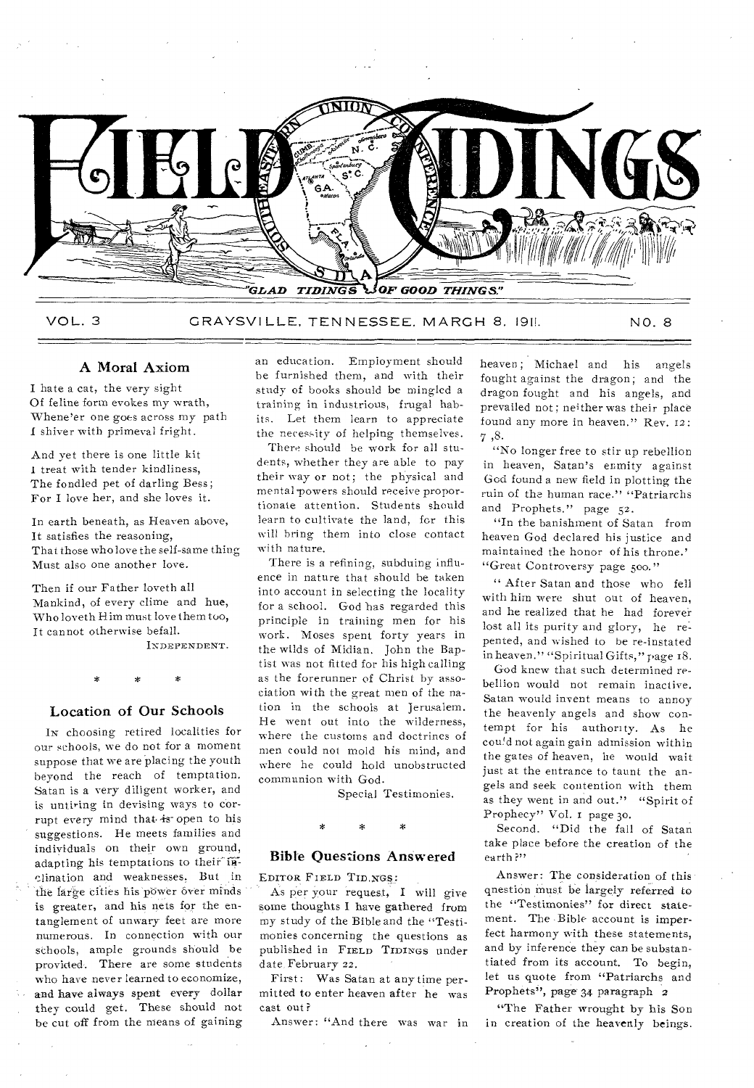

VOL. 3 GRAYSVILLE, TENNESSEE, MARGH 8, 1911. NO. 8

#### A Moral Axiom

I hate a cat, the very sight Of feline form evokes my wrath, Whene'er one goes across my path I shiver with primeval fright.

And yet there is one little kit I treat with tender kindliness, The fondled pet of darling Bess; For I love her, and she loves it.

In earth beneath, as Heaven above, It satisfies the reasoning, That those who love the self-same thing Must also one another love.

Then if our Father loveth all Mankind, of every clime and hue, Who loveth Him must love them too, It cannot otherwise befall.

INDEPENDENT.

#### Location of Our Schools

IN choosing retired localities for our schools, we do not for a moment suppose that we are placing the youth beyond the reach of temptation. Satan is a very diligent worker, and is untiring in devising ways to corrupt every mind that is open to his suggestions. He meets families and individuals on their own ground, adapting his temptations to their inclination and weaknesses. But in the large cities his power over minds is greater, and his nets for the entanglement of unwary feet are more numerous. In connection with our schools, ample grounds should be provided. There are some students who have never learned to economize, and have always spent every dollar they could get. These should not be cut off from the means of gaining

an education. Employment should be furnished them, and with their study of books should be mingled a training in industrious, frugal habits. Let them learn to appreciate the necessity of helping themselves.

There should be work for all students, whether they are able to pay their way or not; the physical and mental-powers should receive proportionate attention. Students should learn to cultivate the land, for this will bring them into close contact with nature.

There is a refining, subduing influence in nature that should he taken into account in selecting the locality for a school. God has regarded this principle in training men for his work. Moses spent forty years in the wilds of Midian. John the Baptist was not fitted for his high calling as the forerunner of Christ by association with the great men of the nation in the schools at Jerusalem. He went out into the wilderness, where the customs and doctrines of men could not mold his mind, and where he could hold unobstructed communion with God.

Special Testimonies.

#### Bible Questions Answered

EDITOR FIELD TID.NG§:

As per your request, I will give some thoughts I have gathered from my study of the Bible and the "Testimonies concerning the questions as published in FIELD TIDINGS under date. February 22.

First: Was Satan at any time permitted to enter heaven after he was cast out?

Answer: "And there was war in

heaven; Michael and his angels fought against the dragon; and the dragon fought and his angels, and prevailed not; neither was their place found any more in heaven." Rev. 12: 7 ,8.

"No longer free to stir up rebellion in heaven, Satan's enmity against God found a new field in plotting the ruin of the human race." "Patriarchs and Prophets." page 52.

"In the banishment of Satan from heaven God declared his justice and maintained the honor of his throne.' "Great Controversy page 500."

" After Satan and those who fell with him were shut out of heaven, and he realized that he had forever lost all its purity and glory, he repented, and wished to be re-instated in heaven." "Spiritual Gifts," page 18.

God knew that such determined rebellion would not remain inactive. Satan would invent means to annoy the heavenly angels and show contempt for his authority. As he cou!d not again gain admission within the gates of heaven, he would wait just at the entrance to taunt the angels and seek contention with them as they went in and out." "Spirit of Prophecy" Vol. I page 3o.

Second. "Did the fall of Satan take place before the creation of the earth?"

Answer: The consideration of this question must be largely referred to the "Testimonies" for direct statement. The Bible account is imperfect harmony with these statements, and by inference they can be substantiated from its account. To begin, let us quote from "Patriarchs and Prophets", page 34 paragraph 2

"The Father wrought by his Son in creation of the heavenly beings.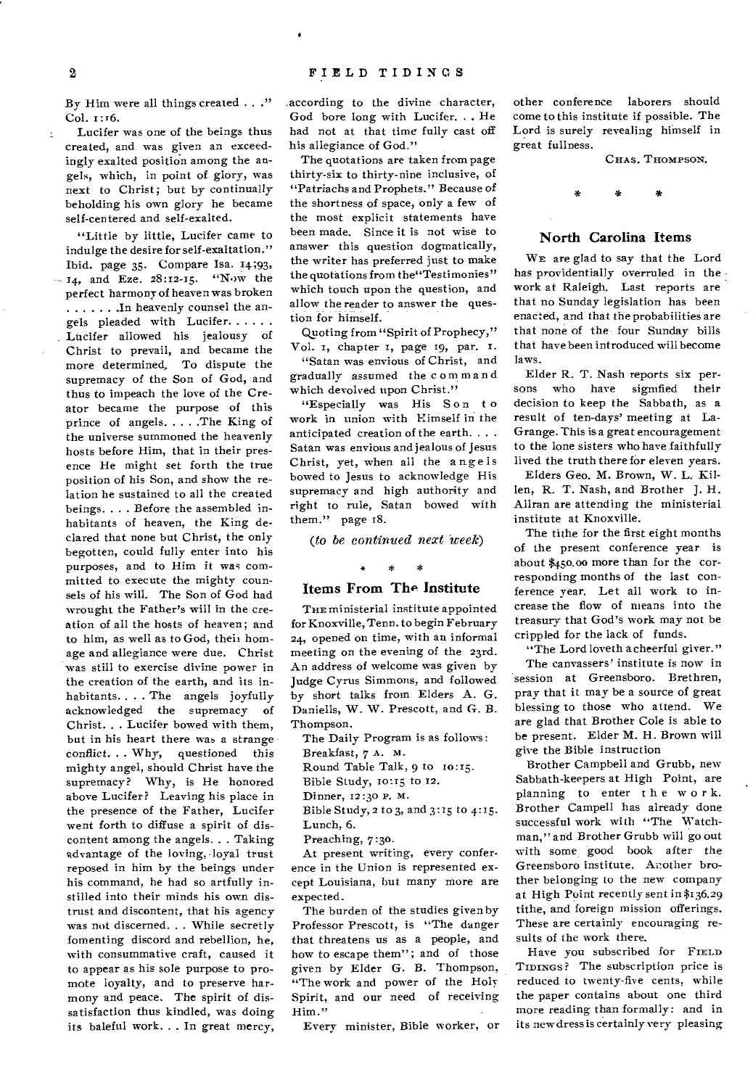By Him were all things created . . ." Col. 1:16.

Lucifer was one of the beings thus created, and was given an exceedingly exalted position among the angels, which, in point of glory, was next to Christ; but by continually beholding his own glory he became self-centered and self-exalted.

"Little by little, Lucifer came to indulge the desire for self-exaltation." Ibid. page 35. Compare Isa. 14;93,  $-14$ , and Eze. 28:12-15. "Now the perfect harmony of heaven was broken . . . . . . . In heavenly counsel the angels pleaded with Lucifer Lucifer allowed his jealousy of Christ to prevail, and became the more determined. To dispute the supremacy of the Son of God, and thus to impeach the love of the Creator became the purpose of this prince of angels. . . . . The King of the universe summoned the heavenly hosts before Him, that in their presence He might set forth the true position of his Son, and show the relation he sustained to all the created beings. . . . Before the assembled inhabitants of heaven, the King declared that none but Christ, the only begotten, could fully enter into his purposes, and to Him it was committed to execute the mighty counsels of his will. The Son of God had wrought the Father's will in the creation of all the hosts of heaven; and to him, as well as to God, their homage and allegiance were due. Christ was still to exercise divine power in the creation of the earth, and its inhabitants.. . . The angels joyfully acknowledged the supremacy of Christ. . . Lucifer bowed with them, but in his heart there was a strange conflict. . . Why, questioned this mighty angel, should Christ have the supremacy? Why, is He honored above Lucifer? Leaving his place in the presence of the Father, Lucifer went forth to diffuse a spirit of discontent among the angels. . . Taking advantage of the loving, loyal trust reposed in him by the beings under his command, he had so artfully instilled into their minds his own distrust and discontent, that his agency was not discerned. . . While secretly fomenting discord and rebellion, he, with consummative craft, caused it to appear as his sole purpose to promote loyalty, and to preserve harmony and peace. The spirit of dissatisfaction thus kindled, was doing its baleful work. . . In great mercy, according to the divine character, God bore long with Lucifer. . . He had not at that time fully cast off his allegiance of God."

The quotations are taken from page thirty-six to thirty-nine inclusive, of "Patriachs and Prophets." Because of the shortness of space, only a few of the most explicit statements have been made. Since it is not wise to answer this question dogmatically, the writer has preferred just to make the quotations from the"Testimonies" which touch upon the question, and allow the reader to answer the question for himself.

Quoting from "Spirit of Prophecy," Vol. 1, chapter 1, page 19, par. I.

"Satan was envious of Christ, and gradually assumed the c om m and which devolved upon Christ."

"Especially was His Son to work in union with Himself in the anticipated creation of the earth. . . . Satan was envious and jealous of Jesus Christ, yet, when all the angels bowed to Jesus to acknowledge His supremacy and high authority and right to rule, Satan bowed with them." page 18.

*(to be continued next 'week)* 

# $*$  \*

#### **Items From The Institute**

THE ministerial institute appointed for Knoxville, Tenn. to begin February 24, opened on time, with an informal meeting on the evening of the 23rd. An address of welcome was given by Judge Cyrus Simmons, and followed by short talks from Elders A. G. Daniells, W. W. Prescott, and G. B. Thompson.

The Daily Program is as follows: Breakfast, *7* A. M. Round Table Talk, 9 to 10:15. Bible Study, to:15 to 12. Dinner, 12:30 P. M. Bible Study,  $2$  to  $3$ , and  $3:15$  to  $4:15$ . Lunch, 6.

Preaching, *7:30.* 

At present writing, every conference in the Union is represented except Louisiana, but many more are expected.

The burden of the studies given by Professor Prescott, is "The danger that threatens us as a people, and how to escape them"; and of those given by Elder G. B. Thompson, "The work and power of the Holy Spirit, and our need of receiving Him."

Every minister, Bible worker, or

other conference laborers should come to this institute if possible. The Lord is surely revealing himself in great fullness.

CHAS. THOMPSON.

#### **North Carolina Items**

WE are glad to say that the Lord has providentially overruled in the work at Raleigh. Last reports are that no Sunday legislation has been enacted, and that the probabilities are that none of the- four Sunday bills that have been introduced will become laws.

Elder R. T. Nash reports six persons who have signified their decision to keep the Sabbath, as a result of ten-days' meeting at La-Grange. This is a great encouragement to the lone sisters who have faithfully lived the truth there for eleven years.

Elders Geo. M. Brown, W. L. Killen, R. T. Nash, and Brother J. H. Allran are attending the ministerial institute at Knoxville.

The tithe for the first eight months of the present conference year is about \$45o.00 more than for the corresponding months of the last conference year. Let all work to increase the flow of means into the treasury that God's work may not be crippled for the lack of funds.

"The Lord loveth a cheerful giver."

The canvassers' institute is now in session at Greensboro. Brethren, pray that it may be a source of great blessing to those who attend. We are glad that Brother Cole is able to be present. Elder **M.** H. Brown will give the Bible instruction

Brother Campbell and Grubb, new Sabbath-keepers at High Point, are planning to enter t h e w or k. Brother Campell has already done successful work with "The Watchman," and Brother Grubb will go out with some good book after the Greensboro institute. Another brother belonging to the new company at High Point recently sent in \$136.29 tithe, and foreign mission offerings. These are certainly encouraging results of the work there.

Have you subscribed for FIELD TIDINGS? The subscription price is reduced to twenty-five cents, while the paper contains about one third more reading than formally: and in its new dress is certainly very pleasing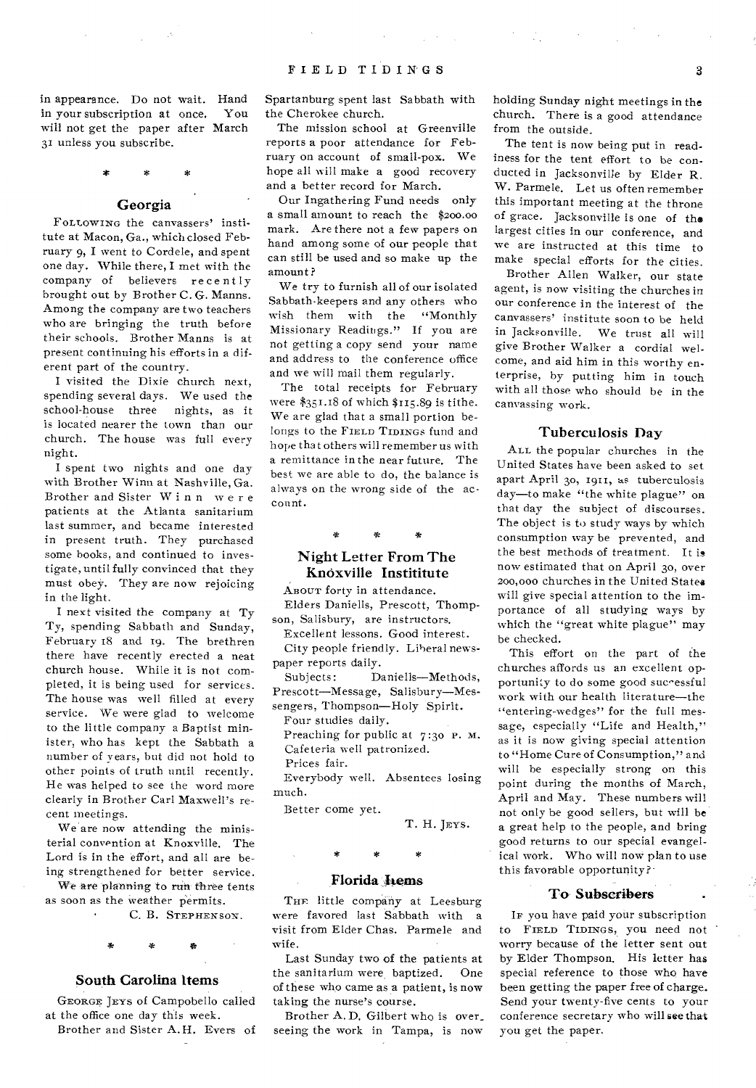$\label{eq:2.1} \left\langle \Psi_{\alpha} \right\rangle = \left\langle \psi_{\alpha} \right\rangle = \left\langle \psi_{\alpha} \right\rangle = \left\langle \psi_{\alpha} \right\rangle = \left\langle \psi_{\alpha} \right\rangle$ 

in appearance. Do not wait. Hand<br>in your subscription at once. You in your subscription at once. will not get the paper after March 31 unless you subscribe.

#### Georgia

FOLLOWING the canvassers' institute at Macon, Ga., which closed February 9, I went to Cordele, and spent one day. While there, I met with the company of believers recently brought out by Brother C. G. Manns. Among the company are two teachers who are bringing the truth before their schools. Brother Manns is at present continuing his efforts in a diferent part of the country.

I visited the Dixie church next, spending several days. We used the school-house three nights, as it is located nearer the town than our church. The house was full every night.

I spent two nights and one day with Brother Winn at Nashville, Ga. Brother and Sister Winn were patients at the Atlanta sanitarium last summer, and became interested in present truth. They purchased some books, and continued to investigate, until fully convinced that they must obey. They are now rejoicing in the light.

I next visited the company at Ty Ty, spending Sabbath and Sunday, February 18 and 19. The brethren there have recently erected a neat church house. While it is not completed, it is being used for services. The house was well filled at every service. We were glad to welcome to the little company a Baptist minister, who has kept the Sabbath a number of years, but did not hold to other points of truth until recently. He was helped to see the word more clearly in Brother Carl Maxwell's recent meetings.

We are now attending the ministerial convention at Knoxville. The Lord is in the effort, and all are being strengthened for better service.

We are planning to run three tents as soon as the weather permits.

C. B. STEPHENSON.

## $\mathbf{x}$

#### South Carolina Items

GEORGE JEYS of Campobello called at the office one day this week.

Brother and Sister A.H. Evers of

Spartanburg spent last Sabbath with the Cherokee church.

The mission school at Greenville reports a poor attendance for February on account of small-pox. We hope all will make a good recovery and a better record for March.

Our Ingathering Fund needs only a small amount to reach the \$200.00 mark. Are there not a few papers on hand among some of our people that can still be used and so make up the amount ?

We try to furnish all of our isolated Sabbath-keepers and any others who wish them with the "Monthly Missionary Readings." If you are not getting a copy send your name and address to the conference office and we will mail them regularly.

The total receipts for February were \$351.18 of which \$115.89 is tithe. We are glad that a small portion belongs to the FIELD TIDINGS fund and hope that others will remember us with a remittance in the near future. The best we are able to do, the balance is always on the wrong side of the account.

#### $\ddot{\mathbf{r}}$

#### Night Letter From The Knoxville Instititute

ABOUT forty in attendance.

Elders Daniells, Prescott, Thompson, Salisbury, are instructors.

Excellent lessons. Good interest. City people friendly. Liberal news-

paper reports daily.

Subjects: Daniells—Methods, Prescott—Message, Salisbury—Messengers, Thompson—Holy Spirit.

Four studies daily.

Preaching for public at  $7:30$  P. M. Cafeteria well patronized.

Prices fair.

Everybody well. Absentees losing much.

Better come yet.

T. H. JEYs.

#### Florida hems

THE little company at Leesburg were favored last Sabbath with a visit from Elder Chas. Parmele and wife.

Last Sunday two of the patients at the sanitarium were baptized. One of these who came as a patient, is now taking the nurse's course.

Brother A.D. Gilbert who is over\_ seeing the work in Tampa, is now holding Sunday night meetings in the church. There is a good attendance from the outside.

The tent is now being put in readiness for the tent effort to be conducted in Jacksonville by Elder R. W. Parmele. Let us often remember this important meeting at the throne of grace. Jacksonville is one of the largest cities in our conference, and we are instructed at this time to make special efforts for the cities.

Brother Allen Walker, our state agent, is now visiting the churches in our conference in the interest of the canvassers' institute soon to be held in Jacksonville. We trust all will give Brother Walker a cordial welcome, and aid him in this worthy enterprise, by putting him in touch with all those who should be in the canvassing work.

#### Tuberculosis Day

ALL the popular churches in the United States have been asked to set apart April 30, 1911, as tuberculosis day—to make "the white plague" on that day the subject of discourses. The object is to study ways by which consumption way be prevented, and the best methods of treatment. It is now estimated that on April 30, over 200,000 churches in the United States will give special attention to the importance of all studying ways by which the "great white plague" may be checked.

This effort on the part of the churches affords us an excellent opportunity to do some good successful work with our health literature—the "entering-wedges" for the full message, especially "Life and Health," as it is now giving special attention to "Home Cure of Consumption," and will be especially strong on this point during the months of March, April and May. These numbers will not only be good sellers, but will be a great help to the people, and bring good returns to our special evangelical work. Who will now plan to use this favorable opportunity?-

#### To Subscribers

IF you have paid your subscription to FIELD TIDINGS, you need not worry because of the letter sent out by Elder Thompson. His letter has special reference to those who have been getting the paper free of charge. Send your twenty-five cents to your conference secretary who will see that you get the paper.